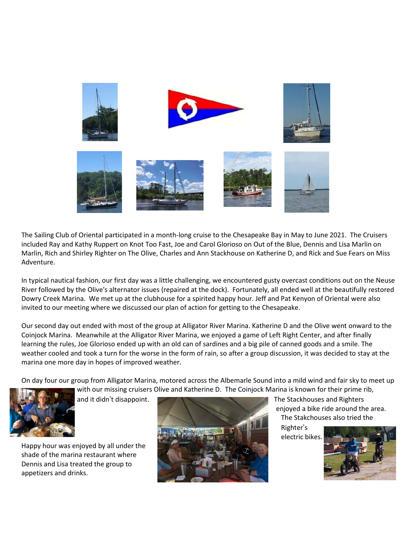

The Sailing Club of Oriental participated in a month-long cruise to the Chesapeake Bay in May to June 2021. The Cruisers included Ray and Kathy Ruppert on Knot Too Fast, Joe and Carol Glorioso on Out of the Blue, Dennis and Lisa Marlin on Marlin, Rich and Shirley Righter on The Olive, Charles and Ann Stackhouse on Katherine D, and Rick and Sue Fears on Miss Adventure.

In typical nautical fashion, our first day was a little challenging, we encountered gusty overcast conditions out on the Neuse River followed by the Olive's alternator issues (repaired at the dock). Fortunately, all ended well at the beautifully restored Dowry Creek Marina. We met up at the clubhouse for a spirited happy hour. Jeff and Pat Kenyon of Oriental were also invited to our meeting where we discussed our plan of action for getting to the Chesapeake.

Our second day out ended with most of the group at Alligator River Marina. Katherine D and the Olive went onward to the Coinjock Marina. Meanwhile at the Alligator River Marina, we enjoyed a game of Left Right Center, and after finally learning the rules, Joe Glorioso ended up with an old can of sardines and a big pile of canned goods and a smile. The weather cooled and took a turn for the worse in the form of rain, so after a group discussion, it was decided to stay at the marina one more day in hopes of improved weather.

On day four our group from Alligator Marina, motored across the Albemarle Sound into a mild wind and fair sky to meet up



Happy hour was enjoyed by all under the shade of the marina restaurant where Dennis and Lisa treated the group to appetizers and drinks.



 enjoyed a bike ride around the area. The Stakchouses also tried the

 Righter's electric bikes.

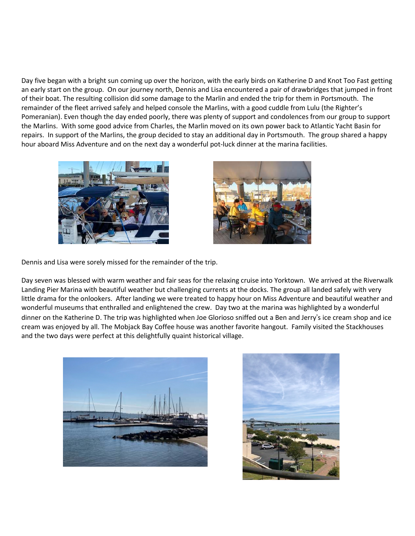Day five began with a bright sun coming up over the horizon, with the early birds on Katherine D and Knot Too Fast getting an early start on the group. On our journey north, Dennis and Lisa encountered a pair of drawbridges that jumped in front of their boat. The resulting collision did some damage to the Marlin and ended the trip for them in Portsmouth. The remainder of the fleet arrived safely and helped console the Marlins, with a good cuddle from Lulu (the Righter's Pomeranian). Even though the day ended poorly, there was plenty of support and condolences from our group to support the Marlins. With some good advice from Charles, the Marlin moved on its own power back to Atlantic Yacht Basin for repairs. In support of the Marlins, the group decided to stay an additional day in Portsmouth. The group shared a happy hour aboard Miss Adventure and on the next day a wonderful pot-luck dinner at the marina facilities.





Dennis and Lisa were sorely missed for the remainder of the trip.

Day seven was blessed with warm weather and fair seas for the relaxing cruise into Yorktown. We arrived at the Riverwalk Landing Pier Marina with beautiful weather but challenging currents at the docks. The group all landed safely with very little drama for the onlookers. After landing we were treated to happy hour on Miss Adventure and beautiful weather and wonderful museums that enthralled and enlightened the crew. Day two at the marina was highlighted by a wonderful dinner on the Katherine D. The trip was highlighted when Joe Glorioso sniffed out a Ben and Jerry's ice cream shop and ice cream was enjoyed by all. The Mobjack Bay Coffee house was another favorite hangout. Family visited the Stackhouses and the two days were perfect at this delightfully quaint historical village.



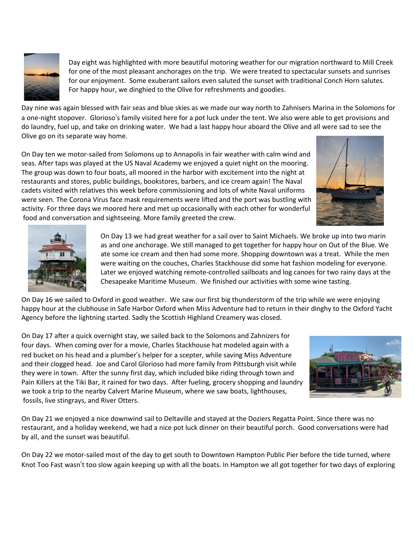

 Day eight was highlighted with more beautiful motoring weather for our migration northward to Mill Creek for one of the most pleasant anchorages on the trip. We were treated to spectacular sunsets and sunrises for our enjoyment. Some exuberant sailors even saluted the sunset with traditional Conch Horn salutes. For happy hour, we dinghied to the Olive for refreshments and goodies.

Day nine was again blessed with fair seas and blue skies as we made our way north to Zahnisers Marina in the Solomons for a one-night stopover. Glorioso's family visited here for a pot luck under the tent. We also were able to get provisions and do laundry, fuel up, and take on drinking water. We had a last happy hour aboard the Olive and all were sad to see the Olive go on its separate way home.

On Day ten we motor-sailed from Solomons up to Annapolis in fair weather with calm wind and seas. After taps was played at the US Naval Academy we enjoyed a quiet night on the mooring. The group was down to four boats, all moored in the harbor with excitement into the night at restaurants and stores, public buildings, bookstores, barbers, and ice cream again! The Naval cadets visited with relatives this week before commissioning and lots of white Naval uniforms were seen. The Corona Virus face mask requirements were lifted and the port was bustling with activity. For three days we moored here and met up occasionally with each other for wonderful food and conversation and sightseeing. More family greeted the crew.





 On Day 13 we had great weather for a sail over to Saint Michaels. We broke up into two marin as and one anchorage. We still managed to get together for happy hour on Out of the Blue. We ate some ice cream and then had some more. Shopping downtown was a treat. While the men were waiting on the couches, Charles Stackhouse did some hat fashion modeling for everyone. Later we enjoyed watching remote-controlled sailboats and log canoes for two rainy days at the Chesapeake Maritime Museum. We finished our activities with some wine tasting.

On Day 16 we sailed to Oxford in good weather. We saw our first big thunderstorm of the trip while we were enjoying happy hour at the clubhouse in Safe Harbor Oxford when Miss Adventure had to return in their dinghy to the Oxford Yacht Agency before the lightning started. Sadly the Scottish Highland Creamery was closed.

On Day 17 after a quick overnight stay, we sailed back to the Solomons and Zahnizers for four days. When coming over for a movie, Charles Stackhouse hat modeled again with a red bucket on his head and a plumber's helper for a scepter, while saving Miss Adventure and their clogged head. Joe and Carol Glorioso had more family from Pittsburgh visit while they were in town. After the sunny first day, which included bike riding through town and Pain Killers at the Tiki Bar, it rained for two days. After fueling, grocery shopping and laundry we took a trip to the nearby Calvert Marine Museum, where we saw boats, lighthouses, fossils, live stingrays, and River Otters.



On Day 21 we enjoyed a nice downwind sail to Deltaville and stayed at the Doziers Regatta Point. Since there was no restaurant, and a holiday weekend, we had a nice pot luck dinner on their beautiful porch. Good conversations were had by all, and the sunset was beautiful.

On Day 22 we motor-sailed most of the day to get south to Downtown Hampton Public Pier before the tide turned, where Knot Too Fast wasn't too slow again keeping up with all the boats. In Hampton we all got together for two days of exploring